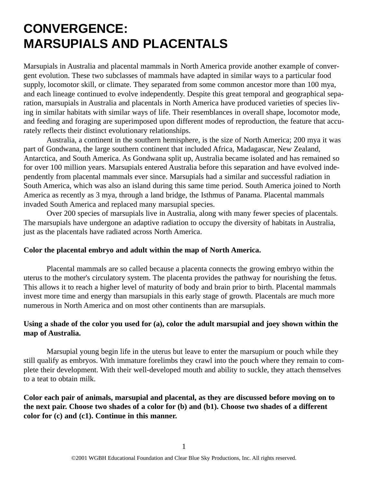# **CONVERGENCE: MARSUPIALS AND PLACENTALS**

Marsupials in Australia and placental mammals in North America provide another example of convergent evolution. These two subclasses of mammals have adapted in similar ways to a particular food supply, locomotor skill, or climate. They separated from some common ancestor more than 100 mya, and each lineage continued to evolve independently. Despite this great temporal and geographical separation, marsupials in Australia and placentals in North America have produced varieties of species living in similar habitats with similar ways of life. Their resemblances in overall shape, locomotor mode, and feeding and foraging are superimposed upon different modes of reproduction, the feature that accurately reflects their distinct evolutionary relationships.

Australia, a continent in the southern hemisphere, is the size of North America; 200 mya it was part of Gondwana, the large southern continent that included Africa, Madagascar, New Zealand, Antarctica, and South America. As Gondwana split up, Australia became isolated and has remained so for over 100 million years. Marsupials entered Australia before this separation and have evolved independently from placental mammals ever since. Marsupials had a similar and successful radiation in South America, which was also an island during this same time period. South America joined to North America as recently as 3 mya, through a land bridge, the Isthmus of Panama. Placental mammals invaded South America and replaced many marsupial species.

Over 200 species of marsupials live in Australia, along with many fewer species of placentals. The marsupials have undergone an adaptive radiation to occupy the diversity of habitats in Australia, just as the placentals have radiated across North America.

#### **Color the placental embryo and adult within the map of North America.**

Placental mammals are so called because a placenta connects the growing embryo within the uterus to the mother's circulatory system. The placenta provides the pathway for nourishing the fetus. This allows it to reach a higher level of maturity of body and brain prior to birth. Placental mammals invest more time and energy than marsupials in this early stage of growth. Placentals are much more numerous in North America and on most other continents than are marsupials.

### **Using a shade of the color you used for (a), color the adult marsupial and joey shown within the map of Australia.**

Marsupial young begin life in the uterus but leave to enter the marsupium or pouch while they still qualify as embryos. With immature forelimbs they crawl into the pouch where they remain to complete their development. With their well-developed mouth and ability to suckle, they attach themselves to a teat to obtain milk.

### **Color each pair of animals, marsupial and placental, as they are discussed before moving on to the next pair. Choose two shades of a color for (b) and (b1). Choose two shades of a different color for (c) and (c1). Continue in this manner.**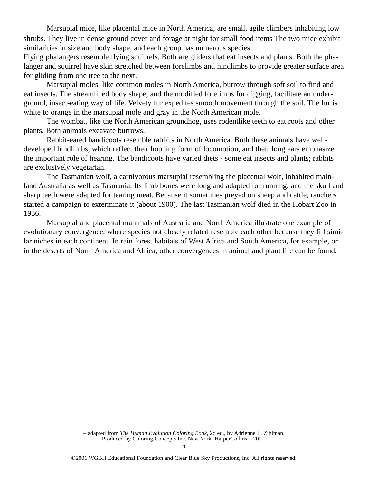Marsupial mice, like placental mice in North America, are small, agile climbers inhabiting low shrubs. They live in dense ground cover and forage at night for small food items The two mice exhibit similarities in size and body shape, and each group has numerous species.

Flying phalangers resemble flying squirrels. Both are gliders that eat insects and plants. Both the phalanger and squirrel have skin stretched between forelimbs and hindlimbs to provide greater surface area for gliding from one tree to the next.

Marsupial moles, like common moles in North America, burrow through soft soil to find and eat insects. The streamlined body shape, and the modified forelimbs for digging, facilitate an underground, insect-eating way of life. Velvety fur expedites smooth movement through the soil. The fur is white to orange in the marsupial mole and gray in the North American mole.

The wombat, like the North American groundhog, uses rodentlike teeth to eat roots and other plants. Both animals excavate burrows.

Rabbit-eared bandicoots resemble rabbits in North America. Both these animals have welldeveloped hindlimbs, which reflect their hopping form of locomotion, and their long ears emphasize the important role of hearing. The bandicoots have varied diets - some eat insects and plants; rabbits are exclusively vegetarian.

The Tasmanian wolf, a carnivorous marsupial resembling the placental wolf, inhabited mainland Australia as well as Tasmania. Its limb bones were long and adapted for running, and the skull and sharp teeth were adapted for tearing meat. Because it sometimes preyed on sheep and cattle, ranchers started a campaign to exterminate it (about 1900). The last Tasmanian wolf died in the Hobart Zoo in 1936.

Marsupial and placental mammals of Australia and North America illustrate one example of evolutionary convergence, where species not closely related resemble each other because they fill similar niches in each continent. In rain forest habitats of West Africa and South America, for example, or in the deserts of North America and Africa, other convergences in animal and plant life can be found.

> – adapted from *The Human Evolution Coloring Book*, 2d ed., by Adrienne L. Zihlman. Produced by Coloring Concepts Inc. New York: HarperCollins, 2001.